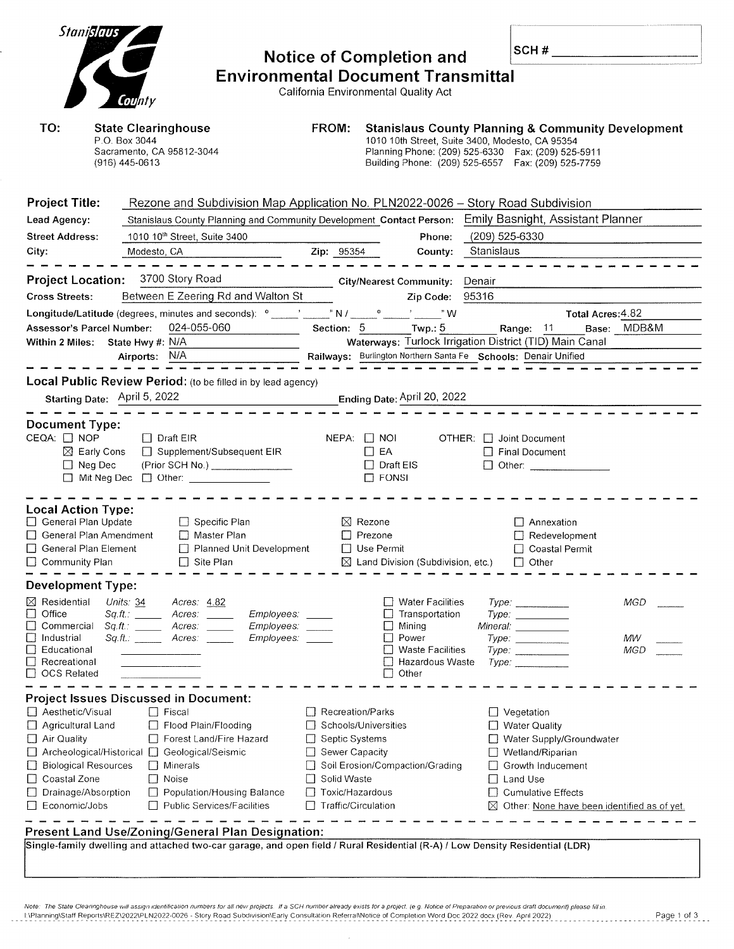| Stanislaus<br>County                                                                                                                                                                                                                                                                                                                                                                                                                                                               | <b>Notice of Completion and</b><br><b>Environmental Document Transmittal</b><br>California Environmental Quality Act                                     |                                                                                                                                                                            |                                                                                                                                                                                                                                | SCH#                         |                                                                                                                                                                                                     |                         |
|------------------------------------------------------------------------------------------------------------------------------------------------------------------------------------------------------------------------------------------------------------------------------------------------------------------------------------------------------------------------------------------------------------------------------------------------------------------------------------|----------------------------------------------------------------------------------------------------------------------------------------------------------|----------------------------------------------------------------------------------------------------------------------------------------------------------------------------|--------------------------------------------------------------------------------------------------------------------------------------------------------------------------------------------------------------------------------|------------------------------|-----------------------------------------------------------------------------------------------------------------------------------------------------------------------------------------------------|-------------------------|
| TO:<br><b>State Clearinghouse</b><br>P.O. Box 3044<br>Sacramento, CA 95812-3044<br>(916) 445-0613                                                                                                                                                                                                                                                                                                                                                                                  |                                                                                                                                                          | FROM:                                                                                                                                                                      | <b>Stanislaus County Planning &amp; Community Development</b><br>1010 10th Street, Suite 3400, Modesto, CA 95354<br>Planning Phone: (209) 525-6330  Fax: (209) 525-5911<br>Building Phone: (209) 525-6557  Fax: (209) 525-7759 |                              |                                                                                                                                                                                                     |                         |
| <b>Project Title:</b><br>Lead Agency:<br><b>Street Address:</b><br>1010 10th Street, Suite 3400<br>City:<br>Modesto, CA                                                                                                                                                                                                                                                                                                                                                            | Rezone and Subdivision Map Application No. PLN2022-0026 - Story Road Subdivision<br>Stanislaus County Planning and Community Development Contact Person: | Zip: 95354                                                                                                                                                                 | Phone:<br>County:                                                                                                                                                                                                              | (209) 525-6330<br>Stanislaus | Emily Basnight, Assistant Planner                                                                                                                                                                   |                         |
| 3700 Story Road<br><b>Project Location:</b><br><b>Cross Streets:</b><br><b>Assessor's Parcel Number:</b><br>Within 2 Miles: State Hwy #: N/A<br>Airports: N/A                                                                                                                                                                                                                                                                                                                      | Between E Zeering Rd and Walton St<br>024-055-060                                                                                                        | <b>City/Nearest Community:</b><br>Section: 5 Twp.: 5<br>Railways: Burlington Northern Santa Fe Schools: Denair Unified                                                     | Zip Code:<br>"W                                                                                                                                                                                                                | Denair<br>95316              | Total Acres: 4.82<br>Range: 11<br>Waterways: Turlock Irrigation District (TID) Main Canal                                                                                                           | Base: MDB&M             |
| Local Public Review Period: (to be filled in by lead agency)<br>Starting Date: April 5, 2022                                                                                                                                                                                                                                                                                                                                                                                       |                                                                                                                                                          |                                                                                                                                                                            | Ending Date: April 20, 2022                                                                                                                                                                                                    |                              |                                                                                                                                                                                                     |                         |
| <b>Document Type:</b><br>CEQA: □ NOP<br>$\Box$ Draft EIR<br>$\boxtimes$ Early Cons<br>$\Box$ Neg Dec<br>$\Box$ Mit Neg Dec $\Box$ Other: _______________                                                                                                                                                                                                                                                                                                                           | □ Supplement/Subsequent EIR<br>(Prior SCH No.) ________________                                                                                          | $NEPA:$ $\Box$ NOI<br>$\Box$ EA<br>$\Box$ Draft EIS<br>$\Gamma$ FONSI                                                                                                      |                                                                                                                                                                                                                                |                              | OTHER: Joint Document<br>$\Box$ Final Document<br>□ Other: _____________                                                                                                                            |                         |
| <b>Local Action Type:</b><br>General Plan Update<br>General Plan Amendment<br>General Plan Element<br>$\Box$ Community Plan                                                                                                                                                                                                                                                                                                                                                        | $\Box$ Specific Plan<br>□ Master Plan<br>Planned Unit Development<br>$\Box$ Site Plan                                                                    | $\boxtimes$ Rezone<br>$\Box$ Prezone<br>$\Box$ Use Permit                                                                                                                  | $\boxtimes$ Land Division (Subdivision, etc.)                                                                                                                                                                                  |                              | $\Box$ Annexation<br>$\Box$ Redevelopment<br>□ Coastal Permit<br>$\Box$ Other                                                                                                                       |                         |
| <b>Development Type:</b>                                                                                                                                                                                                                                                                                                                                                                                                                                                           |                                                                                                                                                          |                                                                                                                                                                            |                                                                                                                                                                                                                                |                              |                                                                                                                                                                                                     |                         |
| $\boxtimes$ Residential<br>Units: 34<br>Office<br>Sq.H.:<br>Acres:<br>Commercial<br>Acres:<br>Industrial<br>$Sq.H.$ Acres<br>Educational<br>ப<br>Recreational<br>$\Box$ OCS Related                                                                                                                                                                                                                                                                                                | Acres: 4.82<br>Employees:<br>Employees:<br>Employees:                                                                                                    | $\vert \ \ \vert$                                                                                                                                                          | <b>Water Facilities</b><br>Transportation<br>Mining<br>Power<br><b>Waste Facilities</b><br>Hazardous Waste<br>Other                                                                                                            |                              | Type:<br>Mineral: ___________<br>Type:<br>Type:<br>Type: Type:                                                                                                                                      | <b>MGD</b><br>МW<br>MGD |
| <b>Project Issues Discussed in Document:</b><br>□ Aesthetic/Visual<br>$\Box$ Fiscal<br>Agricultural Land<br>Air Quality<br>□ Archeological/Historical □ Geological/Seismic<br>Biological Resources<br>□ Minerals<br>Coastal Zone<br>$\Box$ Noise<br>⊔<br>Drainage/Absorption<br>Economic/Jobs<br>Present Land Use/Zoning/General Plan Designation:<br>Single-family dwelling and attached two-car garage, and open field / Rural Residential (R-A) / Low Density Residential (LDR) | Flood Plain/Flooding<br>Forest Land/Fire Hazard<br>Population/Housing Balance<br>Public Services/Facilities                                              | Recreation/Parks<br>Schools/Universities<br>□ Septic Systems<br>Sewer Capacity<br>Soil Erosion/Compaction/Grading<br>Solid Waste<br>Toxic/Hazardous<br>Traffic/Circulation |                                                                                                                                                                                                                                |                              | $\Box$ Vegetation<br>$\Box$ Water Quality<br>□ Water Supply/Groundwater<br>□ Wetland/Riparian<br>Growth Inducement<br>Land Use<br>Cumulative Effects<br>Other: None have been identified as of yet. |                         |

Note: The State Clearinghouse will assign identification numbers for all new projects. If a SCH number already exists for a project, (e.g. Nolice of Preparation or previous draft document) please fill in,<br>INPlanning\Staff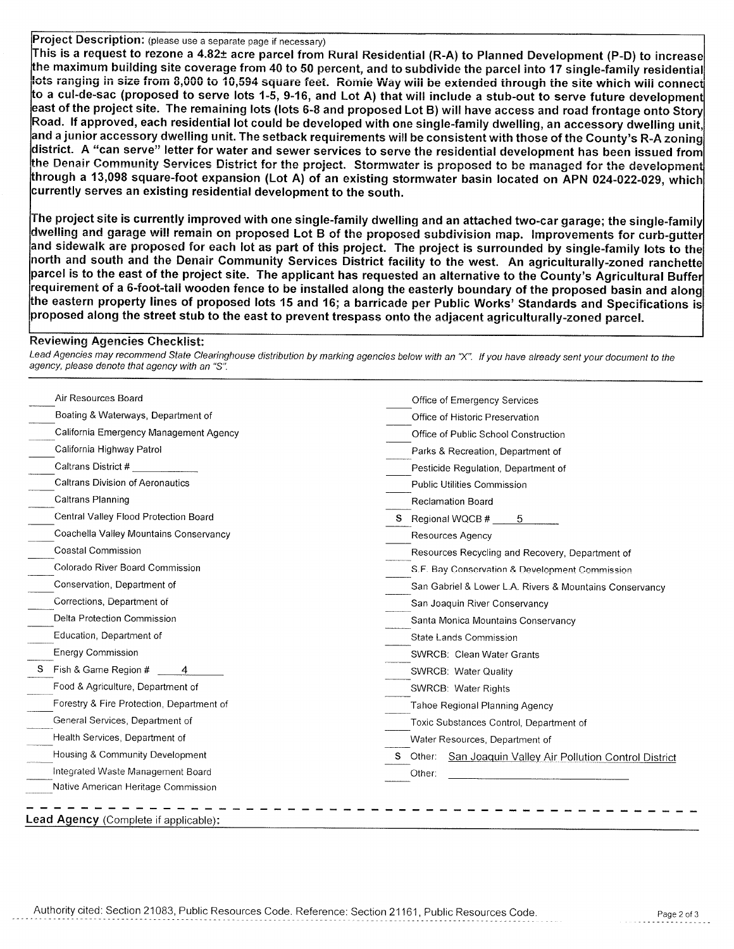Proiect Description: (please use a separate page if necessary)

This is a request to rezone a 4.82± acre parcel from Rural Residential (R-A) to Planned Development (P-D) to increase the maximum building site coverage from 40 to 50 percent, and to subdivide the parcel into 17 single-family residential lots ranging in size from 8,000 to 10,594 square feet. Romie Way will be extended through the site which will connect to a cul-de-sac (proposed to serve lots 1-5, 9-16, and Lot A) that will include a stub-out to serve future development east of the project site. The remaining lots (lots 6-8 and proposed Lot B) will have access and road frontage onto Story Road. If approved, each residential lot could be developed with one single-family dwelling, an accessory dwelling unit, and a junior accessory dwelling unit. The setback requirements will be consistent with those of the County's R-A zoning district. A "can serve" letter for water and sewer services to serve the residential development has been issued from the Denair Community Services District for the project. Stormwater is proposed to be managed for the development through a 13,098 square-foot expansion (Lot A) of an existing stormwater basin located on APN 024-022-029, which currently serves an existing residential development to the south.

The project site is currently improved with one single-family dwelling and an attached two-car garage; the single-family  $\mid$ dwelling and garage will remain on proposed Lot B of the proposed subdivision map. Improvements for curb-gutter and sidewalk are proposed for each lot as part of this project. The project is surrounded by single-family lots to the north and south and the Denair Community Services District facility to the west. An agriculturally-zoned ranchette parcel is to the east of the project site. The applicant has requested an alternative to the County's Agricultural Buffer requirement of a 6-foot-tall wooden fence to be installed along the easterly boundary of the proposed basin and along the eastern property lines of proposed lots 15 and 16; a barricade per Public Works' Standards and Specifications is proposed along the street stub to the east to prevent trespass onto the adjacent agriculturally-zoned parcel.

## **Reviewing Agencies Checklist:**

Lead Agencies may recommend State Clearinghouse distribution by marking agencies below with an "X". If you have already sent your document to the agency, please denote that agency with an "S".

| Air Resources Board                       | Office of Emergency Services                                   |  |  |
|-------------------------------------------|----------------------------------------------------------------|--|--|
| Boating & Waterways, Department of        | Office of Historic Preservation                                |  |  |
| California Emergency Management Agency    | Office of Public School Construction                           |  |  |
| California Highway Patrol                 | Parks & Recreation, Department of                              |  |  |
| Caltrans District #                       | Pesticide Regulation, Department of                            |  |  |
| Caltrans Division of Aeronautics          | <b>Public Utilities Commission</b>                             |  |  |
| Caltrans Planning                         | <b>Reclamation Board</b>                                       |  |  |
| Central Valley Flood Protection Board     | S Regional WQCB #<br>-5                                        |  |  |
| Coachella Valley Mountains Conservancy    | <b>Resources Agency</b>                                        |  |  |
| Coastal Commission                        | Resources Recycling and Recovery, Department of                |  |  |
| Colorado River Board Commission           | S.F. Bay Conservation & Development Commission                 |  |  |
| Conservation, Department of               | San Gabriel & Lower L.A. Rivers & Mountains Conservancy        |  |  |
| Corrections, Department of                | San Joaquin River Conservancy                                  |  |  |
| Delta Protection Commission               | Santa Monica Mountains Conservancy                             |  |  |
| Education, Department of                  | State Lands Commission                                         |  |  |
| <b>Energy Commission</b>                  | SWRCB: Clean Water Grants                                      |  |  |
| Fish & Game Region #<br>s                 | SWRCB: Water Quality                                           |  |  |
| Food & Agriculture, Department of         | SWRCB: Water Rights                                            |  |  |
| Forestry & Fire Protection, Department of | Tahoe Regional Planning Agency                                 |  |  |
| General Services, Department of           | Toxic Substances Control, Department of                        |  |  |
| Health Services, Department of            | Water Resources, Department of                                 |  |  |
| Housing & Community Development           | Other: San Joaquin Valley Air Pollution Control District<br>S. |  |  |
| Integrated Waste Management Board         | Other:                                                         |  |  |
| Native American Heritage Commission       |                                                                |  |  |